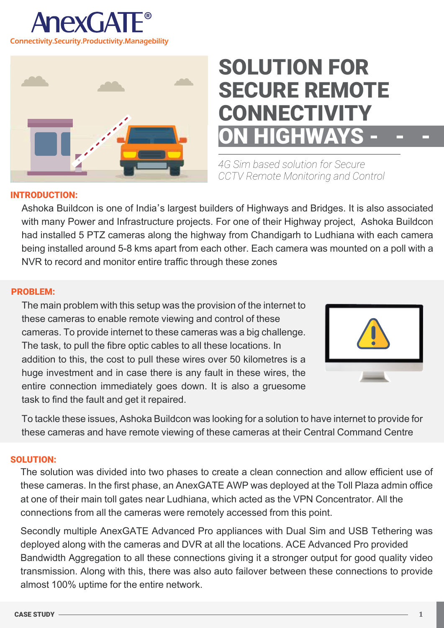



# SOLUTION FOR SECURE REMOTE **CONNECTIVITY HIGHWAYS**

*4G Sim based solution for Secure CCTV Remote Monitoring and Control* 

### INTRODUCTION:

Ashoka Buildcon is one of India's largest builders of Highways and Bridges. It is also associated with many Power and Infrastructure projects. For one of their Highway project, Ashoka Buildcon had installed 5 PTZ cameras along the highway from Chandigarh to Ludhiana with each camera being installed around 5-8 kms apart from each other. Each camera was mounted on a poll with a NVR to record and monitor entire traffic through these zones

## PROBLEM:

The main problem with this setup was the provision of the internet to these cameras to enable remote viewing and control of these cameras. To provide internet to these cameras was a big challenge. The task, to pull the fibre optic cables to all these locations. In addition to this, the cost to pull these wires over 50 kilometres is a huge investment and in case there is any fault in these wires, the entire connection immediately goes down. It is also a gruesome task to find the fault and get it repaired.



To tackle these issues, Ashoka Buildcon was looking for a solution to have internet to provide for these cameras and have remote viewing of these cameras at their Central Command Centre

### SOLUTION:

The solution was divided into two phases to create a clean connection and allow efficient use of these cameras. In the first phase, an AnexGATE AWP was deployed at the Toll Plaza admin office at one of their main toll gates near Ludhiana, which acted as the VPN Concentrator. All the connections from all the cameras were remotely accessed from this point.

Secondly multiple AnexGATE Advanced Pro appliances with Dual Sim and USB Tethering was deployed along with the cameras and DVR at all the locations. ACE Advanced Pro provided Bandwidth Aggregation to all these connections giving it a stronger output for good quality video transmission. Along with this, there was also auto failover between these connections to provide almost 100% uptime for the entire network.